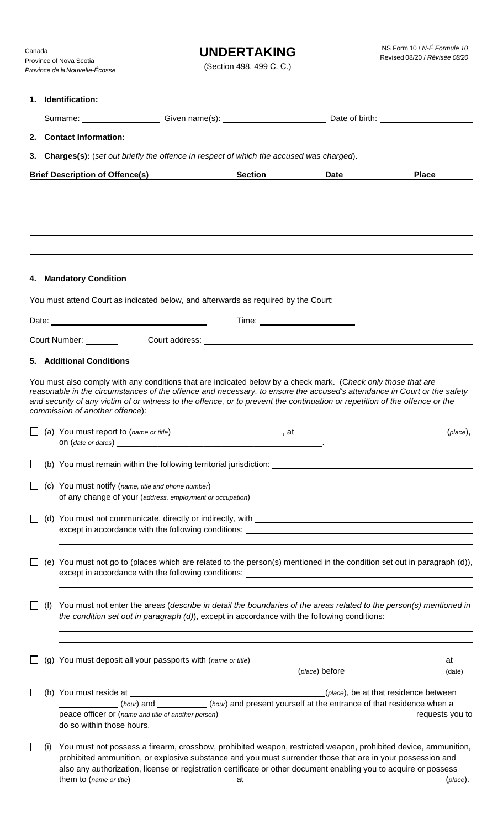# **UNDERTAKING**

(Section 498, 499 C. C.)

| 1. Identification:                                                                        |     |                                                                                                                                                                                                                    |  |  |                                                                                                                                                                                                                                                                                                                                                                         |                                                                                                                         |  |  |  |  |
|-------------------------------------------------------------------------------------------|-----|--------------------------------------------------------------------------------------------------------------------------------------------------------------------------------------------------------------------|--|--|-------------------------------------------------------------------------------------------------------------------------------------------------------------------------------------------------------------------------------------------------------------------------------------------------------------------------------------------------------------------------|-------------------------------------------------------------------------------------------------------------------------|--|--|--|--|
|                                                                                           |     |                                                                                                                                                                                                                    |  |  |                                                                                                                                                                                                                                                                                                                                                                         |                                                                                                                         |  |  |  |  |
|                                                                                           |     |                                                                                                                                                                                                                    |  |  |                                                                                                                                                                                                                                                                                                                                                                         |                                                                                                                         |  |  |  |  |
| 3. Charges(s): (set out briefly the offence in respect of which the accused was charged). |     |                                                                                                                                                                                                                    |  |  |                                                                                                                                                                                                                                                                                                                                                                         |                                                                                                                         |  |  |  |  |
|                                                                                           |     | <b>Brief Description of Offence(s) Section Section</b>                                                                                                                                                             |  |  | Date <b>Date</b>                                                                                                                                                                                                                                                                                                                                                        | <b>Place</b>                                                                                                            |  |  |  |  |
|                                                                                           |     |                                                                                                                                                                                                                    |  |  |                                                                                                                                                                                                                                                                                                                                                                         |                                                                                                                         |  |  |  |  |
|                                                                                           |     |                                                                                                                                                                                                                    |  |  |                                                                                                                                                                                                                                                                                                                                                                         |                                                                                                                         |  |  |  |  |
|                                                                                           |     |                                                                                                                                                                                                                    |  |  |                                                                                                                                                                                                                                                                                                                                                                         |                                                                                                                         |  |  |  |  |
|                                                                                           |     | 4. Mandatory Condition                                                                                                                                                                                             |  |  |                                                                                                                                                                                                                                                                                                                                                                         |                                                                                                                         |  |  |  |  |
|                                                                                           |     | You must attend Court as indicated below, and afterwards as required by the Court:                                                                                                                                 |  |  |                                                                                                                                                                                                                                                                                                                                                                         |                                                                                                                         |  |  |  |  |
|                                                                                           |     |                                                                                                                                                                                                                    |  |  |                                                                                                                                                                                                                                                                                                                                                                         |                                                                                                                         |  |  |  |  |
|                                                                                           |     |                                                                                                                                                                                                                    |  |  | Court Number: Court address: Court and Court and Court and Court and Court and Court and Court and Court and Court and Court and Court and Court and Court and Court and Court and Court and Court and Court and Court and Cou                                                                                                                                          |                                                                                                                         |  |  |  |  |
|                                                                                           |     | <b>5. Additional Conditions</b>                                                                                                                                                                                    |  |  |                                                                                                                                                                                                                                                                                                                                                                         |                                                                                                                         |  |  |  |  |
|                                                                                           |     | commission of another offence):                                                                                                                                                                                    |  |  | You must also comply with any conditions that are indicated below by a check mark. (Check only those that are<br>reasonable in the circumstances of the offence and necessary, to ensure the accused's attendance in Court or the safety<br>and security of any victim of or witness to the offence, or to prevent the continuation or repetition of the offence or the |                                                                                                                         |  |  |  |  |
|                                                                                           |     |                                                                                                                                                                                                                    |  |  |                                                                                                                                                                                                                                                                                                                                                                         | (place),                                                                                                                |  |  |  |  |
|                                                                                           |     |                                                                                                                                                                                                                    |  |  |                                                                                                                                                                                                                                                                                                                                                                         |                                                                                                                         |  |  |  |  |
|                                                                                           |     |                                                                                                                                                                                                                    |  |  |                                                                                                                                                                                                                                                                                                                                                                         |                                                                                                                         |  |  |  |  |
|                                                                                           |     |                                                                                                                                                                                                                    |  |  |                                                                                                                                                                                                                                                                                                                                                                         |                                                                                                                         |  |  |  |  |
|                                                                                           |     |                                                                                                                                                                                                                    |  |  |                                                                                                                                                                                                                                                                                                                                                                         | (e) You must not go to (places which are related to the person(s) mentioned in the condition set out in paragraph (d)), |  |  |  |  |
|                                                                                           | (f) | You must not enter the areas (describe in detail the boundaries of the areas related to the person(s) mentioned in<br>the condition set out in paragraph (d)), except in accordance with the following conditions: |  |  |                                                                                                                                                                                                                                                                                                                                                                         |                                                                                                                         |  |  |  |  |
|                                                                                           |     |                                                                                                                                                                                                                    |  |  | (place) before (date)                                                                                                                                                                                                                                                                                                                                                   |                                                                                                                         |  |  |  |  |
|                                                                                           |     |                                                                                                                                                                                                                    |  |  | (h) You must reside at $\frac{1}{2}$ meson as $\frac{1}{2}$ (h) You must residence between                                                                                                                                                                                                                                                                              |                                                                                                                         |  |  |  |  |
|                                                                                           |     | do so within those hours.                                                                                                                                                                                          |  |  | (hour) and _________(hour) and present yourself at the entrance of that residence when a                                                                                                                                                                                                                                                                                |                                                                                                                         |  |  |  |  |
|                                                                                           |     | You must not possess a firearm, crossbow, prohibited weapon, restricted weapon, prohibited device, ammunition,                                                                                                     |  |  |                                                                                                                                                                                                                                                                                                                                                                         |                                                                                                                         |  |  |  |  |

prohibited ammunition, or explosive substance and you must surrender those that are in your possession and also any authorization, license or registration certificate or other document enabling you to acquire or possess them to (*name or title*) at (*place*).